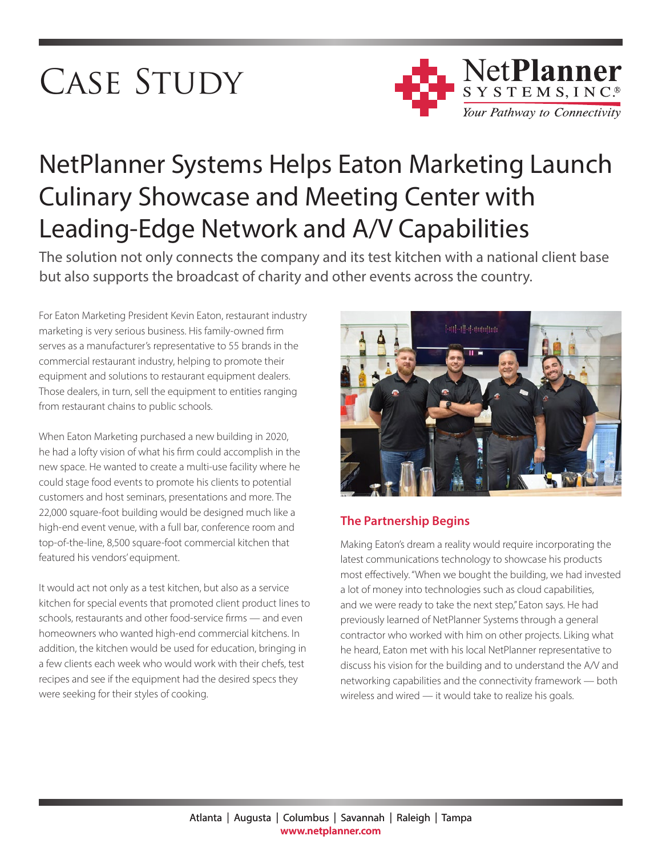# CASE STUDY



# NetPlanner Systems Helps Eaton Marketing Launch Culinary Showcase and Meeting Center with Leading-Edge Network and A/V Capabilities

The solution not only connects the company and its test kitchen with a national client base but also supports the broadcast of charity and other events across the country.

For Eaton Marketing President Kevin Eaton, restaurant industry marketing is very serious business. His family-owned firm serves as a manufacturer's representative to 55 brands in the commercial restaurant industry, helping to promote their equipment and solutions to restaurant equipment dealers. Those dealers, in turn, sell the equipment to entities ranging from restaurant chains to public schools.

When Eaton Marketing purchased a new building in 2020, he had a lofty vision of what his firm could accomplish in the new space. He wanted to create a multi-use facility where he could stage food events to promote his clients to potential customers and host seminars, presentations and more. The 22,000 square-foot building would be designed much like a high-end event venue, with a full bar, conference room and top-of-the-line, 8,500 square-foot commercial kitchen that featured his vendors' equipment.

It would act not only as a test kitchen, but also as a service kitchen for special events that promoted client product lines to schools, restaurants and other food-service firms — and even homeowners who wanted high-end commercial kitchens. In addition, the kitchen would be used for education, bringing in a few clients each week who would work with their chefs, test recipes and see if the equipment had the desired specs they were seeking for their styles of cooking.



# **The Partnership Begins**

Making Eaton's dream a reality would require incorporating the latest communications technology to showcase his products most effectively. "When we bought the building, we had invested a lot of money into technologies such as cloud capabilities, and we were ready to take the next step," Eaton says. He had previously learned of NetPlanner Systems through a general contractor who worked with him on other projects. Liking what he heard, Eaton met with his local NetPlanner representative to discuss his vision for the building and to understand the A/V and networking capabilities and the connectivity framework — both wireless and wired — it would take to realize his goals.